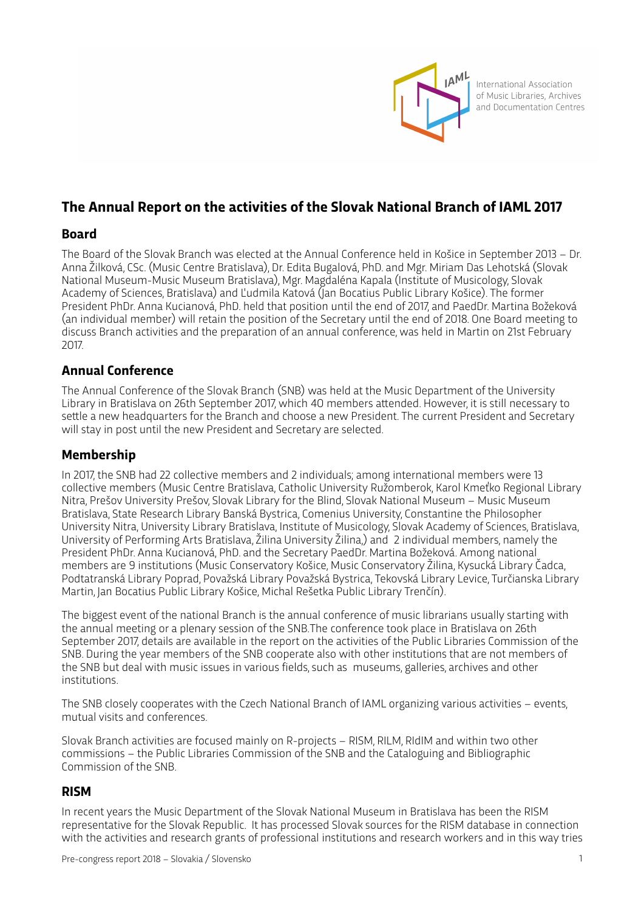

International Association of Music Libraries, Archives and Documentation Centres

# **The Annual Report on the activities of the Slovak National Branch of IAML 2017**

## **Board**

The Board of the Slovak Branch was elected at the Annual Conference held in Košice in September 2013 – Dr. Anna Žilková, CSc. (Music Centre Bratislava), Dr. Edita Bugalová, PhD. and Mgr. Miriam Das Lehotská (Slovak National Museum-Music Museum Bratislava), Mgr. Magdaléna Kapala (Institute of Musicology, Slovak Academy of Sciences, Bratislava) and Ľudmila Katová (Jan Bocatius Public Library Košice). The former President PhDr. Anna Kucianová, PhD. held that position until the end of 2017, and PaedDr. Martina Božeková (an individual member) will retain the position of the Secretary until the end of 2018. One Board meeting to discuss Branch activities and the preparation of an annual conference, was held in Martin on 21st February 2017.

## **Annual Conference**

The Annual Conference of the Slovak Branch (SNB) was held at the Music Department of the University Library in Bratislava on 26th September 2017, which 40 members atended. However, it is still necessary to setle a new headquarters for the Branch and choose a new President. The current President and Secretary will stay in post until the new President and Secretary are selected.

## **Membership**

In 2017, the SNB had 22 collective members and 2 individuals; among international members were 13 collective members (Music Centre Bratislava, Catholic University Ružomberok, Karol Kmeťko Regional Library Nitra, Prešov University Prešov, Slovak Library for the Blind, Slovak National Museum – Music Museum Bratislava, State Research Library Banská Bystrica, Comenius University, Constantine the Philosopher University Nitra, University Library Bratislava, Institute of Musicology, Slovak Academy of Sciences, Bratislava, University of Performing Arts Bratislava, Žilina University Žilina,) and 2 individual members, namely the President PhDr. Anna Kucianová, PhD. and the Secretary PaedDr. Martina Božeková. Among national members are 9 institutions (Music Conservatory Košice, Music Conservatory Žilina, Kysucká Library Čadca, Podtatranská Library Poprad, Považská Library Považská Bystrica, Tekovská Library Levice, Turčianska Library Martin, Jan Bocatius Public Library Košice, Michal Rešetka Public Library Trenčín).

The biggest event of the national Branch is the annual conference of music librarians usually starting with the annual meeting or a plenary session of the SNB.The conference took place in Bratislava on 26th September 2017, details are available in the report on the activities of the Public Libraries Commission of the SNB. During the year members of the SNB cooperate also with other institutions that are not members of the SNB but deal with music issues in various fields, such as museums, galleries, archives and other institutions.

The SNB closely cooperates with the Czech National Branch of IAML organizing various activities – events, mutual visits and conferences.

Slovak Branch activities are focused mainly on R-projects – RISM, RILM, RIdIM and within two other commissions – the Public Libraries Commission of the SNB and the Cataloguing and Bibliographic Commission of the SNB.

#### **RISM**

In recent years the Music Department of the Slovak National Museum in Bratislava has been the RISM representative for the Slovak Republic. It has processed Slovak sources for the RISM database in connection with the activities and research grants of professional institutions and research workers and in this way tries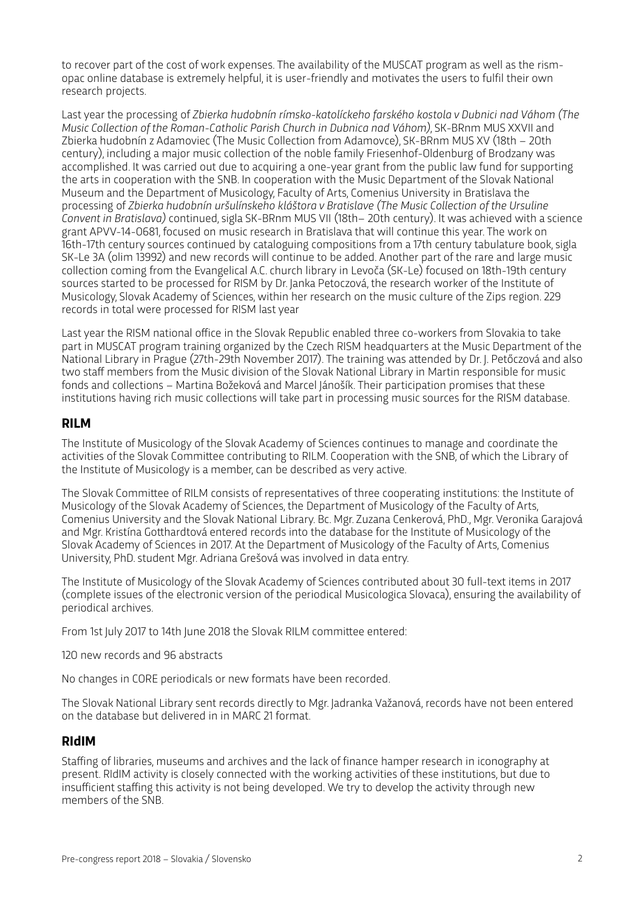to recover part of the cost of work expenses. The availability of the MUSCAT program as well as the rismopac online database is extremely helpful, it is user-friendly and motivates the users to fulfil their own research projects.

Last year the processing of *Zbierka hudobnín rímsko-katolíckeho farského kostola v Dubnici nad Váhom (The Music Collection of the Roman-Catholic Parish Church in Dubnica nad Váhom)*, SK-BRnm MUS XXVII and Zbierka hudobnín z Adamoviec (The Music Collection from Adamovce), SK-BRnm MUS XV (18th – 20th century), including a major music collection of the noble family Friesenhof-Oldenburg of Brodzany was accomplished. It was carried out due to acquiring a one-year grant from the public law fund for supporting the arts in cooperation with the SNB. In cooperation with the Music Department of the Slovak National Museum and the Department of Musicology, Faculty of Arts, Comenius University in Bratislava the processing of *Zbierka hudobnín uršulínskeho kláštora v Bratislave (The Music Collection of the Ursuline Convent in Bratislava)* continued, sigla SK-BRnm MUS VII (18th– 20th century). It was achieved with a science grant APVV-14-0681, focused on music research in Bratislava that will continue this year. The work on 16th-17th century sources continued by cataloguing compositions from a 17th century tabulature book, sigla SK-Le 3A (olim 13992) and new records will continue to be added. Another part of the rare and large music collection coming from the Evangelical A.C. church library in Levoča (SK-Le) focused on 18th-19th century sources started to be processed for RISM by Dr. Janka Petoczová, the research worker of the Institute of Musicology, Slovak Academy of Sciences, within her research on the music culture of the Zips region. 229 records in total were processed for RISM last year

Last year the RISM national office in the Slovak Republic enabled three co-workers from Slovakia to take part in MUSCAT program training organized by the Czech RISM headquarters at the Music Department of the National Library in Prague (27th-29th November 2017). The training was atended by Dr. J. Petőczová and also two staff members from the Music division of the Slovak National Library in Martin responsible for music fonds and collections – Martina Božeková and Marcel Jánošík. Their participation promises that these institutions having rich music collections will take part in processing music sources for the RISM database.

#### **RILM**

The Institute of Musicology of the Slovak Academy of Sciences continues to manage and coordinate the activities of the Slovak Commitee contributing to RILM. Cooperation with the SNB, of which the Library of the Institute of Musicology is a member, can be described as very active.

The Slovak Commitee of RILM consists of representatives of three cooperating institutions: the Institute of Musicology of the Slovak Academy of Sciences, the Department of Musicology of the Faculty of Arts, Comenius University and the Slovak National Library. Bc. Mgr. Zuzana Cenkerová, PhD., Mgr. Veronika Garajová and Mgr. Kristína Gothardtová entered records into the database for the Institute of Musicology of the Slovak Academy of Sciences in 2017. At the Department of Musicology of the Faculty of Arts, Comenius University, PhD. student Mgr. Adriana Grešová was involved in data entry.

The Institute of Musicology of the Slovak Academy of Sciences contributed about 30 full-text items in 2017 (complete issues of the electronic version of the periodical Musicologica Slovaca), ensuring the availability of periodical archives.

From 1st July 2017 to 14th June 2018 the Slovak RILM committee entered:

120 new records and 96 abstracts

No changes in CORE periodicals or new formats have been recorded.

The Slovak National Library sent records directly to Mgr. Jadranka Važanová, records have not been entered on the database but delivered in in MARC 21 format.

#### **RIdIM**

Staffing of libraries, museums and archives and the lack of finance hamper research in iconography at present. RIdIM activity is closely connected with the working activities of these institutions, but due to insufficient staffing this activity is not being developed. We try to develop the activity through new members of the SNB